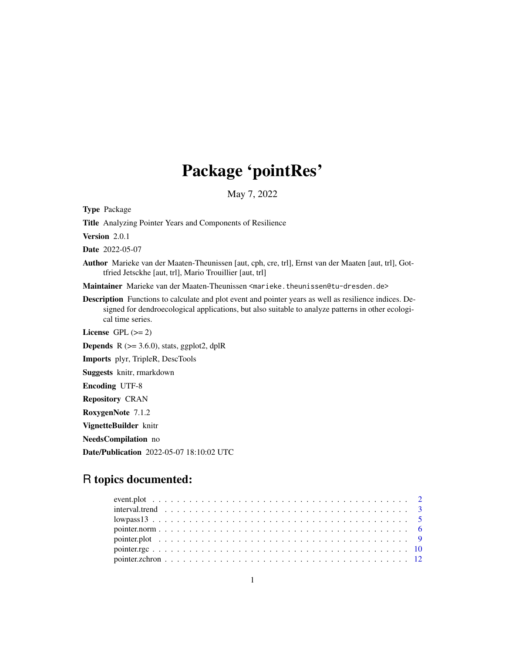## Package 'pointRes'

May 7, 2022

Type Package

Title Analyzing Pointer Years and Components of Resilience

Version 2.0.1

Date 2022-05-07

Author Marieke van der Maaten-Theunissen [aut, cph, cre, trl], Ernst van der Maaten [aut, trl], Gottfried Jetsckhe [aut, trl], Mario Trouillier [aut, trl]

Maintainer Marieke van der Maaten-Theunissen <marieke.theunissen@tu-dresden.de>

Description Functions to calculate and plot event and pointer years as well as resilience indices. Designed for dendroecological applications, but also suitable to analyze patterns in other ecological time series.

License GPL  $(>= 2)$ 

**Depends**  $R$  ( $>= 3.6.0$ ), stats, ggplot2, dplR

Imports plyr, TripleR, DescTools

Suggests knitr, rmarkdown

Encoding UTF-8

Repository CRAN

RoxygenNote 7.1.2

VignetteBuilder knitr

NeedsCompilation no

Date/Publication 2022-05-07 18:10:02 UTC

### R topics documented:

| $1000000013$ |  |
|--------------|--|
|              |  |
|              |  |
|              |  |
|              |  |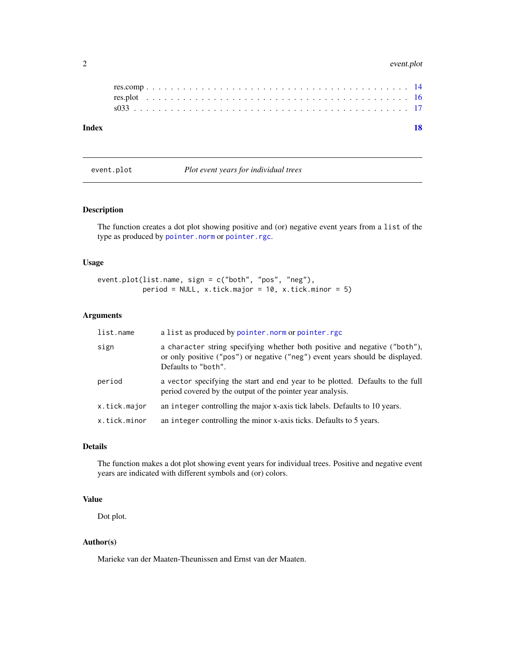#### <span id="page-1-0"></span>2 event.plot

#### **Index** 2008 **[18](#page-17-0)**

event.plot *Plot event years for individual trees*

#### Description

The function creates a dot plot showing positive and (or) negative event years from a list of the type as produced by [pointer.norm](#page-5-1) or [pointer.rgc](#page-9-1).

#### Usage

```
event.plot(list.name, sign = c("both", "pos", "neg"),
          period = NULL, x.tick.major = 10, x.tick.minor = 5)
```
#### Arguments

| list.name    | a list as produced by pointer. norm or pointer. rgc                                                                                                                                |
|--------------|------------------------------------------------------------------------------------------------------------------------------------------------------------------------------------|
| sign         | a character string specifying whether both positive and negative ("both"),<br>or only positive ("pos") or negative ("neg") event years should be displayed.<br>Defaults to "both". |
| period       | a vector specifying the start and end year to be plotted. Defaults to the full<br>period covered by the output of the pointer year analysis.                                       |
| x.tick.major | an integer controlling the major x-axis tick labels. Defaults to 10 years.                                                                                                         |
| x.tick.minor | an integer controlling the minor x-axis ticks. Defaults to 5 years.                                                                                                                |

#### Details

The function makes a dot plot showing event years for individual trees. Positive and negative event years are indicated with different symbols and (or) colors.

#### Value

Dot plot.

#### Author(s)

Marieke van der Maaten-Theunissen and Ernst van der Maaten.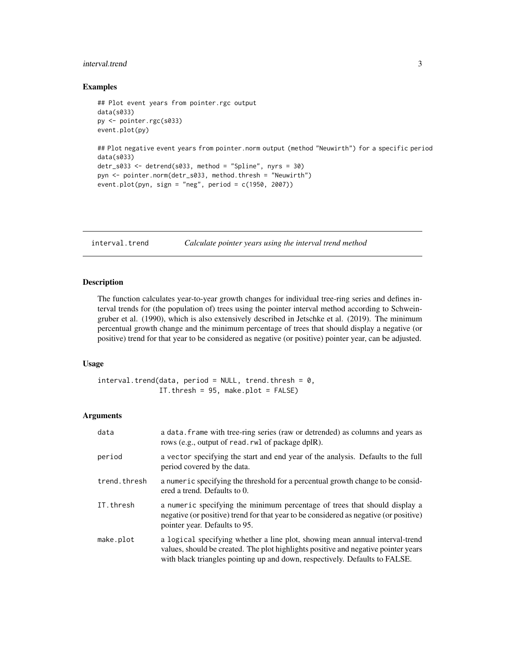#### <span id="page-2-0"></span>interval.trend 3

#### Examples

```
## Plot event years from pointer.rgc output
data(s033)
py <- pointer.rgc(s033)
event.plot(py)
## Plot negative event years from pointer.norm output (method "Neuwirth") for a specific period
```

```
data(s033)
detr_s033 <- detrend(s033, method = "Spline", nyrs = 30)
pyn <- pointer.norm(detr_s033, method.thresh = "Neuwirth")
event.plot(pyn, sign = "neg", period = c(1950, 2007))
```
<span id="page-2-1"></span>interval.trend *Calculate pointer years using the interval trend method*

#### Description

The function calculates year-to-year growth changes for individual tree-ring series and defines interval trends for (the population of) trees using the pointer interval method according to Schweingruber et al. (1990), which is also extensively described in Jetschke et al. (2019). The minimum percentual growth change and the minimum percentage of trees that should display a negative (or positive) trend for that year to be considered as negative (or positive) pointer year, can be adjusted.

#### Usage

```
interval.trend(data, period = NULL, trend.thresh = 0,IT.thresh = 95, make.plot = FALSE)
```

| data         | a data. frame with tree-ring series (raw or detrended) as columns and years as<br>rows (e.g., output of read. rwl of package dplR).                                                                                                               |
|--------------|---------------------------------------------------------------------------------------------------------------------------------------------------------------------------------------------------------------------------------------------------|
| period       | a vector specifying the start and end year of the analysis. Defaults to the full<br>period covered by the data.                                                                                                                                   |
| trend.thresh | a numeric specifying the threshold for a percentual growth change to be consid-<br>ered a trend. Defaults to 0.                                                                                                                                   |
| IT.thresh    | a numeric specifying the minimum percentage of trees that should display a<br>negative (or positive) trend for that year to be considered as negative (or positive)<br>pointer year. Defaults to 95.                                              |
| make.plot    | a logical specifying whether a line plot, showing mean annual interval-trend<br>values, should be created. The plot highlights positive and negative pointer years<br>with black triangles pointing up and down, respectively. Defaults to FALSE. |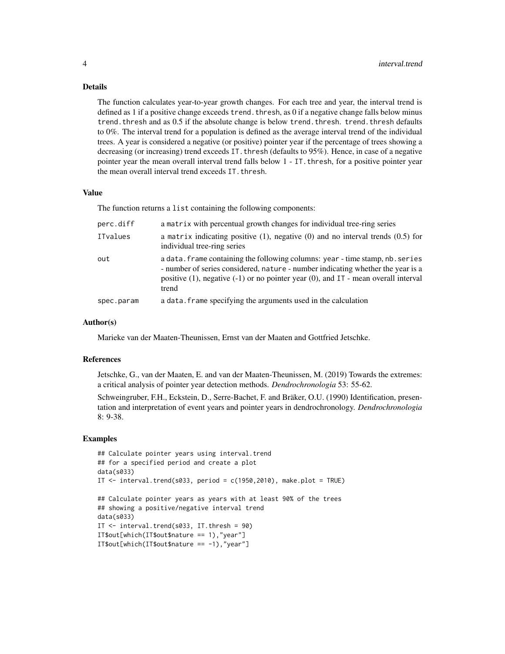#### Details

The function calculates year-to-year growth changes. For each tree and year, the interval trend is defined as 1 if a positive change exceeds trend. thresh, as 0 if a negative change falls below minus trend. thresh and as 0.5 if the absolute change is below trend. thresh. trend. thresh defaults to 0%. The interval trend for a population is defined as the average interval trend of the individual trees. A year is considered a negative (or positive) pointer year if the percentage of trees showing a decreasing (or increasing) trend exceeds IT. thresh (defaults to 95%). Hence, in case of a negative pointer year the mean overall interval trend falls below 1 - IT. thresh, for a positive pointer year the mean overall interval trend exceeds IT.thresh.

#### Value

The function returns a list containing the following components:

| perc.diff  | a matrix with percentual growth changes for individual tree-ring series                                                                                                                                                                                                 |
|------------|-------------------------------------------------------------------------------------------------------------------------------------------------------------------------------------------------------------------------------------------------------------------------|
| ITvalues   | a matrix indicating positive $(1)$ , negative $(0)$ and no interval trends $(0.5)$ for<br>individual tree-ring series                                                                                                                                                   |
| out        | a data. frame containing the following columns: year - time stamp, nb. series<br>- number of series considered, nature - number indicating whether the year is a<br>positive $(1)$ , negative $(-1)$ or no pointer year $(0)$ , and IT - mean overall interval<br>trend |
| spec.param | a data. Frame specifying the arguments used in the calculation                                                                                                                                                                                                          |

#### Author(s)

Marieke van der Maaten-Theunissen, Ernst van der Maaten and Gottfried Jetschke.

#### References

Jetschke, G., van der Maaten, E. and van der Maaten-Theunissen, M. (2019) Towards the extremes: a critical analysis of pointer year detection methods. *Dendrochronologia* 53: 55-62.

Schweingruber, F.H., Eckstein, D., Serre-Bachet, F. and Bräker, O.U. (1990) Identification, presentation and interpretation of event years and pointer years in dendrochronology. *Dendrochronologia* 8: 9-38.

#### Examples

```
## Calculate pointer years using interval.trend
## for a specified period and create a plot
data(s033)
IT \le interval.trend(s033, period = c(1950,2010), make.plot = TRUE)
## Calculate pointer years as years with at least 90% of the trees
## showing a positive/negative interval trend
data(s033)
IT <- interval.trend(s033, IT.thresh = 90)
IT$out[which(IT$out$nature == 1),"year"]
IT$out[which(IT$out$nature == -1),"year"]
```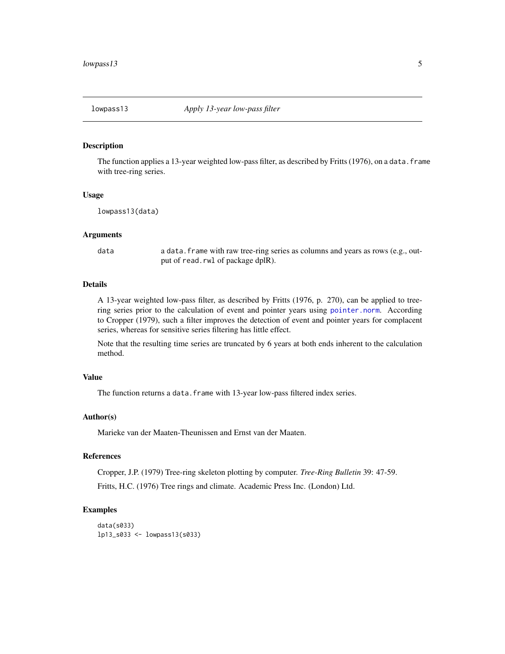<span id="page-4-1"></span><span id="page-4-0"></span>

#### **Description**

The function applies a 13-year weighted low-pass filter, as described by Fritts (1976), on a data. frame with tree-ring series.

#### Usage

lowpass13(data)

#### Arguments

data a data.frame with raw tree-ring series as columns and years as rows (e.g., output of read.rwl of package dplR).

#### **Details**

A 13-year weighted low-pass filter, as described by Fritts (1976, p. 270), can be applied to treering series prior to the calculation of event and pointer years using [pointer.norm](#page-5-1). According to Cropper (1979), such a filter improves the detection of event and pointer years for complacent series, whereas for sensitive series filtering has little effect.

Note that the resulting time series are truncated by 6 years at both ends inherent to the calculation method.

#### Value

The function returns a data.frame with 13-year low-pass filtered index series.

#### Author(s)

Marieke van der Maaten-Theunissen and Ernst van der Maaten.

#### References

Cropper, J.P. (1979) Tree-ring skeleton plotting by computer. *Tree-Ring Bulletin* 39: 47-59. Fritts, H.C. (1976) Tree rings and climate. Academic Press Inc. (London) Ltd.

#### Examples

```
data(s033)
lp13_s033 <- lowpass13(s033)
```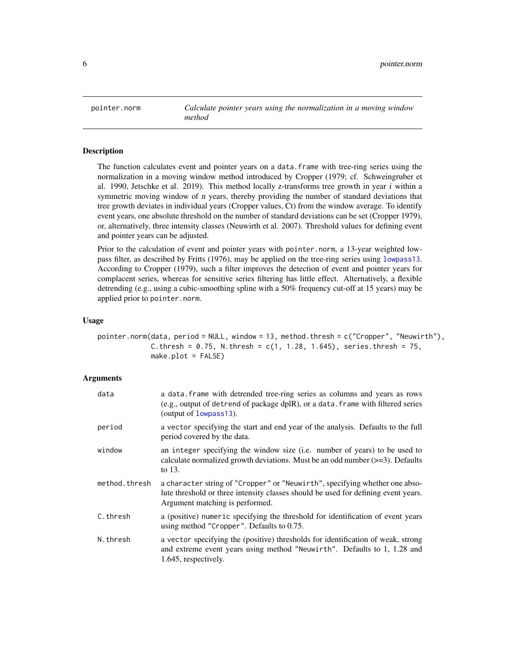<span id="page-5-1"></span><span id="page-5-0"></span>pointer.norm *Calculate pointer years using the normalization in a moving window method*

#### **Description**

The function calculates event and pointer years on a data.frame with tree-ring series using the normalization in a moving window method introduced by Cropper (1979; cf. Schweingruber et al. 1990, Jetschke et al. 2019). This method locally z-transforms tree growth in year  $i$  within a symmetric moving window of *n* years, thereby providing the number of standard deviations that tree growth deviates in individual years (Cropper values, Ct) from the window average. To identify event years, one absolute threshold on the number of standard deviations can be set (Cropper 1979), or, alternatively, three intensity classes (Neuwirth et al. 2007). Threshold values for defining event and pointer years can be adjusted.

Prior to the calculation of event and pointer years with pointer.norm, a 13-year weighted lowpass filter, as described by Fritts (1976), may be applied on the tree-ring series using [lowpass13](#page-4-1). According to Cropper (1979), such a filter improves the detection of event and pointer years for complacent series, whereas for sensitive series filtering has little effect. Alternatively, a flexible detrending (e.g., using a cubic-smoothing spline with a 50% frequency cut-off at 15 years) may be applied prior to pointer.norm.

#### Usage

pointer.norm(data, period = NULL, window = 13, method.thresh = c("Cropper", "Neuwirth"), C.thresh =  $0.75$ , N.thresh =  $c(1, 1.28, 1.645)$ , series.thresh = 75, make.plot = FALSE)

| data          | a data. frame with detrended tree-ring series as columns and years as rows<br>(e.g., output of detrend of package dplR), or a data. frame with filtered series<br>(output of lowpass13).             |
|---------------|------------------------------------------------------------------------------------------------------------------------------------------------------------------------------------------------------|
| period        | a vector specifying the start and end year of the analysis. Defaults to the full<br>period covered by the data.                                                                                      |
| window        | an integer specifying the window size (i.e. number of years) to be used to<br>calculate normalized growth deviations. Must be an odd number $(\geq=3)$ . Defaults<br>to 13.                          |
| method.thresh | a character string of "Cropper" or "Neuwirth", specifying whether one abso-<br>lute threshold or three intensity classes should be used for defining event years.<br>Argument matching is performed. |
| C.thresh      | a (positive) numeric specifying the threshold for identification of event years<br>using method "Cropper". Defaults to 0.75.                                                                         |
| N.thresh      | a vector specifying the (positive) thresholds for identification of weak, strong<br>and extreme event years using method "Neuwirth". Defaults to 1, 1.28 and<br>1.645, respectively.                 |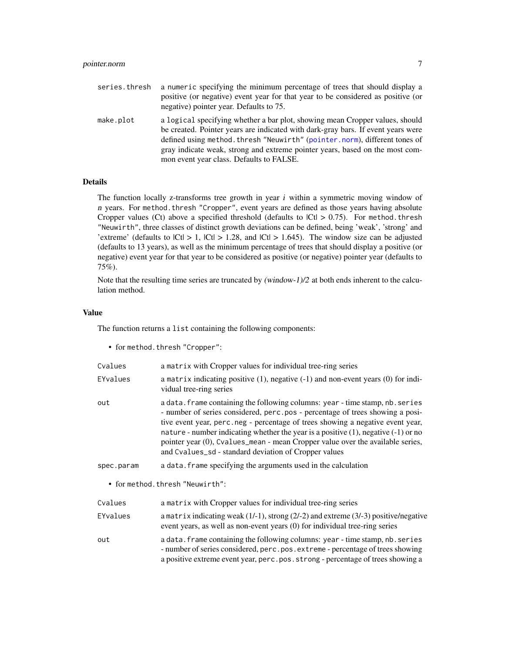<span id="page-6-0"></span>

| series.thresh | a numeric specifying the minimum percentage of trees that should display a<br>positive (or negative) event year for that year to be considered as positive (or<br>negative) pointer year. Defaults to 75.                                                                                                                                                                   |
|---------------|-----------------------------------------------------------------------------------------------------------------------------------------------------------------------------------------------------------------------------------------------------------------------------------------------------------------------------------------------------------------------------|
| make.plot     | a logical specifying whether a bar plot, showing mean Cropper values, should<br>be created. Pointer years are indicated with dark-gray bars. If event years were<br>defined using method. thresh "Neuwirth" (pointer. norm), different tones of<br>gray indicate weak, strong and extreme pointer years, based on the most com-<br>mon event year class. Defaults to FALSE. |

#### Details

The function locally z-transforms tree growth in year  $i$  within a symmetric moving window of n years. For method.thresh "Cropper", event years are defined as those years having absolute Cropper values (Ct) above a specified threshold (defaults to  $|Ct| > 0.75$ ). For method. thresh "Neuwirth", three classes of distinct growth deviations can be defined, being 'weak', 'strong' and 'extreme' (defaults to  $|Ct| > 1$ ,  $|Ct| > 1.28$ , and  $|Ct| > 1.645$ ). The window size can be adjusted (defaults to 13 years), as well as the minimum percentage of trees that should display a positive (or negative) event year for that year to be considered as positive (or negative) pointer year (defaults to 75%).

Note that the resulting time series are truncated by (window-1)/2 at both ends inherent to the calculation method.

#### Value

The function returns a list containing the following components:

• for method.thresh "Cropper":

| Cvalues    | a matrix with Cropper values for individual tree-ring series                                                                                                                                                                                                                                                                                                                                                                                                                           |
|------------|----------------------------------------------------------------------------------------------------------------------------------------------------------------------------------------------------------------------------------------------------------------------------------------------------------------------------------------------------------------------------------------------------------------------------------------------------------------------------------------|
| EYvalues   | a matrix indicating positive $(1)$ , negative $(-1)$ and non-event years $(0)$ for indi-<br>vidual tree-ring series                                                                                                                                                                                                                                                                                                                                                                    |
| out        | a data. frame containing the following columns: year - time stamp, nb. series<br>- number of series considered, perc.pos - percentage of trees showing a posi-<br>tive event year, perc.neg - percentage of trees showing a negative event year,<br>nature - number indicating whether the year is a positive $(1)$ , negative $(-1)$ or no<br>pointer year (0), Cvalues_mean - mean Cropper value over the available series,<br>and Cvalues_sd - standard deviation of Cropper values |
| spec.param | a data. Frame specifying the arguments used in the calculation                                                                                                                                                                                                                                                                                                                                                                                                                         |
|            | • for method.thresh "Neuwirth":                                                                                                                                                                                                                                                                                                                                                                                                                                                        |
| Cvalues    | a matrix with Cropper values for individual tree-ring series                                                                                                                                                                                                                                                                                                                                                                                                                           |
| EYvalues   | a matrix indicating weak $(1/-1)$ , strong $(2/-2)$ and extreme $(3/-3)$ positive/negative<br>event years, as well as non-event years (0) for individual tree-ring series                                                                                                                                                                                                                                                                                                              |
| out        | a data. frame containing the following columns: year - time stamp, nb. series<br>- number of series considered, perc.pos.extreme - percentage of trees showing<br>a positive extreme event year, perc.pos.strong - percentage of trees showing a                                                                                                                                                                                                                                       |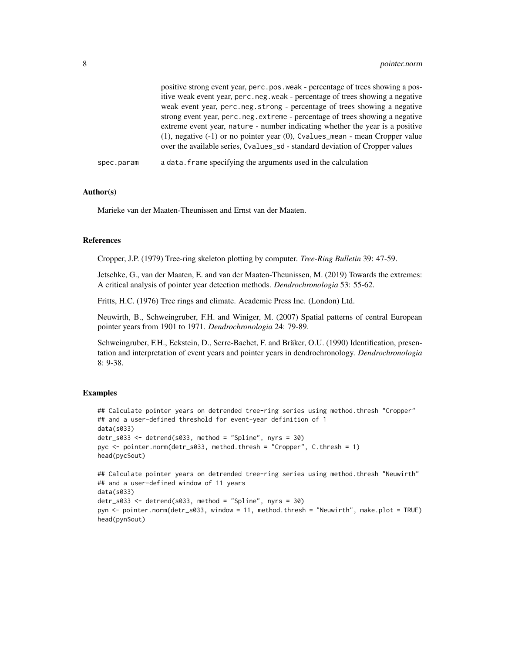|            | positive strong event year, perc.pos.weak - percentage of trees showing a pos-       |
|------------|--------------------------------------------------------------------------------------|
|            | itive weak event year, perc.neg.weak - percentage of trees showing a negative        |
|            | weak event year, perc.neg.strong - percentage of trees showing a negative            |
|            | strong event year, perc.neg.extreme - percentage of trees showing a negative         |
|            | extreme event year, nature - number indicating whether the year is a positive        |
|            | $(1)$ , negative $(-1)$ or no pointer year $(0)$ , Cvalues_mean - mean Cropper value |
|            | over the available series, Cyalues_sd - standard deviation of Cropper values         |
| spec.param | a data. frame specifying the arguments used in the calculation                       |

#### Author(s)

Marieke van der Maaten-Theunissen and Ernst van der Maaten.

#### References

Cropper, J.P. (1979) Tree-ring skeleton plotting by computer. *Tree-Ring Bulletin* 39: 47-59.

Jetschke, G., van der Maaten, E. and van der Maaten-Theunissen, M. (2019) Towards the extremes: A critical analysis of pointer year detection methods. *Dendrochronologia* 53: 55-62.

Fritts, H.C. (1976) Tree rings and climate. Academic Press Inc. (London) Ltd.

Neuwirth, B., Schweingruber, F.H. and Winiger, M. (2007) Spatial patterns of central European pointer years from 1901 to 1971. *Dendrochronologia* 24: 79-89.

Schweingruber, F.H., Eckstein, D., Serre-Bachet, F. and Bräker, O.U. (1990) Identification, presentation and interpretation of event years and pointer years in dendrochronology. *Dendrochronologia* 8: 9-38.

#### Examples

head(pyn\$out)

```
## Calculate pointer years on detrended tree-ring series using method.thresh "Cropper"
## and a user-defined threshold for event-year definition of 1
data(s033)
detr_s033 <- detrend(s033, method = "Spline", nyrs = 30)
pyc <- pointer.norm(detr_s033, method.thresh = "Cropper", C.thresh = 1)
head(pyc$out)
## Calculate pointer years on detrended tree-ring series using method.thresh "Neuwirth"
## and a user-defined window of 11 years
data(s033)
detr_s033 \leq detrend(s033, method = "Spline", nyrs = 30)pyn <- pointer.norm(detr_s033, window = 11, method.thresh = "Neuwirth", make.plot = TRUE)
```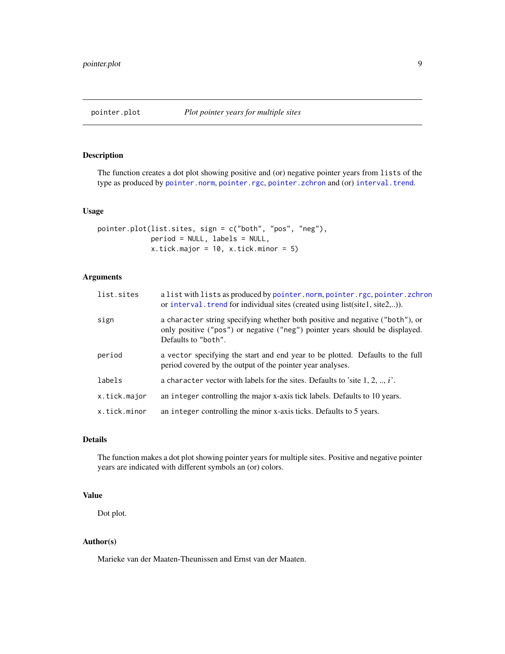<span id="page-8-0"></span>

#### Description

The function creates a dot plot showing positive and (or) negative pointer years from lists of the type as produced by [pointer.norm](#page-5-1), [pointer.rgc](#page-9-1), [pointer.zchron](#page-11-1) and (or) [interval.trend](#page-2-1).

#### Usage

```
pointer.plot(list.sites, sign = c("both", "pos", "neg"),
            period = NULL, labels = NULL,
            x.tick.major = 10, x.tick.minor = 5)
```
#### Arguments

| list.sites   | a list with lists as produced by pointer.norm, pointer.rgc, pointer.zchron<br>or interval. trend for individual sites (created using list(site1, site2,)).                           |
|--------------|--------------------------------------------------------------------------------------------------------------------------------------------------------------------------------------|
| sign         | a character string specifying whether both positive and negative ("both"), or<br>only positive ("pos") or negative ("neg") pointer years should be displayed.<br>Defaults to "both". |
| period       | a vector specifying the start and end year to be plotted. Defaults to the full<br>period covered by the output of the pointer year analyses.                                         |
| labels       | a character vector with labels for the sites. Defaults to 'site $1, 2, , i'$ .                                                                                                       |
| x.tick.major | an integer controlling the major x-axis tick labels. Defaults to 10 years.                                                                                                           |
| x.tick.minor | an integer controlling the minor x-axis ticks. Defaults to 5 years.                                                                                                                  |

#### Details

The function makes a dot plot showing pointer years for multiple sites. Positive and negative pointer years are indicated with different symbols an (or) colors.

#### Value

Dot plot.

#### Author(s)

Marieke van der Maaten-Theunissen and Ernst van der Maaten.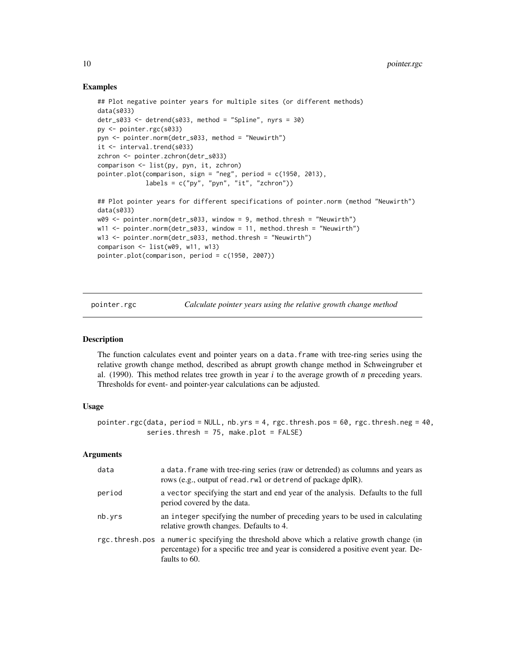#### Examples

```
## Plot negative pointer years for multiple sites (or different methods)
data(s033)
detr_s033 <- detrend(s033, method = "Spline", nyrs = 30)
py <- pointer.rgc(s033)
pyn <- pointer.norm(detr_s033, method = "Neuwirth")
it <- interval.trend(s033)
zchron <- pointer.zchron(detr_s033)
comparison <- list(py, pyn, it, zchron)
pointer.plot(comparison, sign = "neg", period = c(1950, 2013),
             labels = c("py", "pyn", "it", "zchron")## Plot pointer years for different specifications of pointer.norm (method "Neuwirth")
data(s033)
w09 <- pointer.norm(detr_s033, window = 9, method.thresh = "Neuwirth")
w11 <- pointer.norm(detr_s033, window = 11, method.thresh = "Neuwirth")
w13 <- pointer.norm(detr_s033, method.thresh = "Neuwirth")
comparison \leq - list(w09, w11, w13)
pointer.plot(comparison, period = c(1950, 2007))
```
<span id="page-9-1"></span>pointer.rgc *Calculate pointer years using the relative growth change method*

#### **Description**

The function calculates event and pointer years on a data.frame with tree-ring series using the relative growth change method, described as abrupt growth change method in Schweingruber et al.  $(1990)$ . This method relates tree growth in year *i* to the average growth of *n* preceding years. Thresholds for event- and pointer-year calculations can be adjusted.

#### Usage

pointer.rgc(data, period = NULL, nb.yrs = 4, rgc.thresh.pos = 60, rgc.thresh.neg = 40, series.thresh = 75, make.plot = FALSE)

| data   | a data. frame with tree-ring series (raw or detrended) as columns and years as<br>rows (e.g., output of read. rwl or detrend of package dplR).                                                   |
|--------|--------------------------------------------------------------------------------------------------------------------------------------------------------------------------------------------------|
| period | a vector specifying the start and end year of the analysis. Defaults to the full<br>period covered by the data.                                                                                  |
| nb.yrs | an integer specifying the number of preceding years to be used in calculating<br>relative growth changes. Defaults to 4.                                                                         |
|        | rgc.thresh.pos a numeric specifying the threshold above which a relative growth change (in<br>percentage) for a specific tree and year is considered a positive event year. De-<br>faults to 60. |

<span id="page-9-0"></span>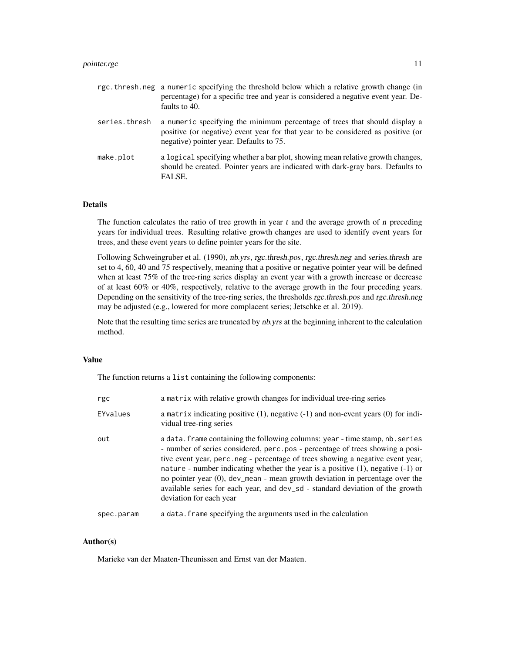#### pointer.rgc 11

|               | rgc.thresh.neg a numeric specifying the threshold below which a relative growth change (in<br>percentage) for a specific tree and year is considered a negative event year. De-<br>faults to 40.          |
|---------------|-----------------------------------------------------------------------------------------------------------------------------------------------------------------------------------------------------------|
| series.thresh | a numeric specifying the minimum percentage of trees that should display a<br>positive (or negative) event year for that year to be considered as positive (or<br>negative) pointer year. Defaults to 75. |
| make.plot     | a logical specifying whether a bar plot, showing mean relative growth changes,<br>should be created. Pointer years are indicated with dark-gray bars. Defaults to<br>FALSE.                               |

#### Details

The function calculates the ratio of tree growth in year  $t$  and the average growth of  $n$  preceding years for individual trees. Resulting relative growth changes are used to identify event years for trees, and these event years to define pointer years for the site.

Following Schweingruber et al. (1990), nb.yrs, rgc.thresh.pos, rgc.thresh.neg and series.thresh are set to 4, 60, 40 and 75 respectively, meaning that a positive or negative pointer year will be defined when at least 75% of the tree-ring series display an event year with a growth increase or decrease of at least 60% or 40%, respectively, relative to the average growth in the four preceding years. Depending on the sensitivity of the tree-ring series, the thresholds rgc.thresh.pos and rgc.thresh.neg may be adjusted (e.g., lowered for more complacent series; Jetschke et al. 2019).

Note that the resulting time series are truncated by *nb.yrs* at the beginning inherent to the calculation method.

#### Value

The function returns a list containing the following components:

| rgc        | a matrix with relative growth changes for individual tree-ring series                                                                                                                                                                                                                                                                                                                                                                                                                                                                   |
|------------|-----------------------------------------------------------------------------------------------------------------------------------------------------------------------------------------------------------------------------------------------------------------------------------------------------------------------------------------------------------------------------------------------------------------------------------------------------------------------------------------------------------------------------------------|
| EYvalues   | a matrix indicating positive $(1)$ , negative $(-1)$ and non-event years $(0)$ for indi-<br>vidual tree-ring series                                                                                                                                                                                                                                                                                                                                                                                                                     |
| out        | a data. frame containing the following columns: year - time stamp, nb. series<br>- number of series considered, perc.pos - percentage of trees showing a posi-<br>tive event year, perc.neg - percentage of trees showing a negative event year,<br>nature - number indicating whether the year is a positive $(1)$ , negative $(-1)$ or<br>no pointer year $(0)$ , dev_mean - mean growth deviation in percentage over the<br>available series for each year, and dev_sd - standard deviation of the growth<br>deviation for each year |
| spec.param | a data. Frame specifying the arguments used in the calculation                                                                                                                                                                                                                                                                                                                                                                                                                                                                          |

#### Author(s)

Marieke van der Maaten-Theunissen and Ernst van der Maaten.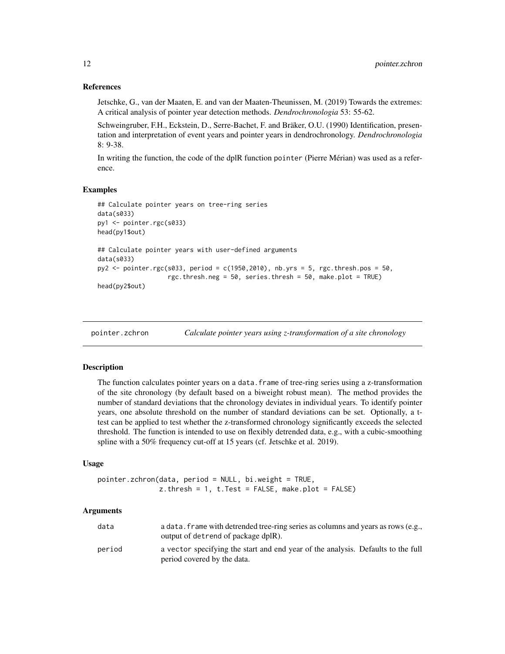#### <span id="page-11-0"></span>References

Jetschke, G., van der Maaten, E. and van der Maaten-Theunissen, M. (2019) Towards the extremes: A critical analysis of pointer year detection methods. *Dendrochronologia* 53: 55-62.

Schweingruber, F.H., Eckstein, D., Serre-Bachet, F. and Bräker, O.U. (1990) Identification, presentation and interpretation of event years and pointer years in dendrochronology. *Dendrochronologia* 8: 9-38.

In writing the function, the code of the dplR function pointer (Pierre Mérian) was used as a reference.

#### Examples

```
## Calculate pointer years on tree-ring series
data(s033)
py1 <- pointer.rgc(s033)
head(py1$out)
## Calculate pointer years with user-defined arguments
data(s033)
py2 <- pointer.rgc(s033, period = c(1950,2010), nb.yrs = 5, rgc.thresh.pos = 50,
                   rgc.thresh.neg = 50, series.thresh = 50, make.plot = TRUE)
head(py2$out)
```
<span id="page-11-1"></span>

| pointer.zchron | Calculate pointer years using z-transformation of a site chronology |  |  |
|----------------|---------------------------------------------------------------------|--|--|
|                |                                                                     |  |  |

#### Description

The function calculates pointer years on a data.frame of tree-ring series using a z-transformation of the site chronology (by default based on a biweight robust mean). The method provides the number of standard deviations that the chronology deviates in individual years. To identify pointer years, one absolute threshold on the number of standard deviations can be set. Optionally, a ttest can be applied to test whether the z-transformed chronology significantly exceeds the selected threshold. The function is intended to use on flexibly detrended data, e.g., with a cubic-smoothing spline with a 50% frequency cut-off at 15 years (cf. Jetschke et al. 2019).

#### Usage

```
pointer.zchron(data, period = NULL, bi.weight = TRUE,
               z. thresh = 1, t. Test = FALSE, make.plot = FALSE)
```

| data   | a data. frame with detrended tree-ring series as columns and years as rows (e.g.,<br>output of detrend of package dplR). |
|--------|--------------------------------------------------------------------------------------------------------------------------|
| period | a vector specifying the start and end year of the analysis. Defaults to the full<br>period covered by the data.          |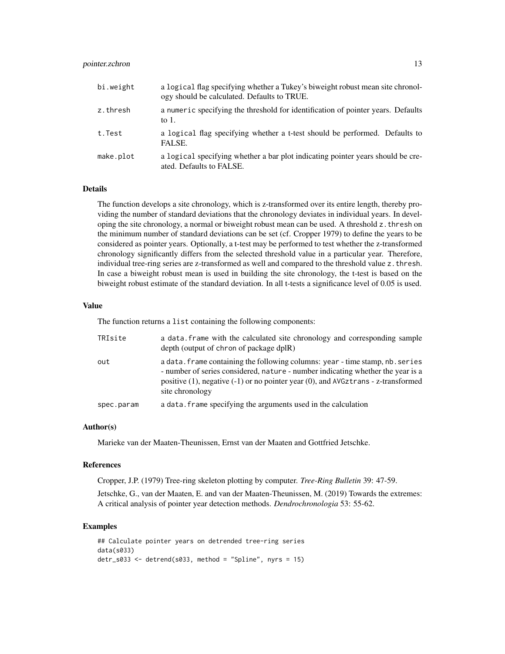#### pointer.zchron 13

| bi.weight | a logical flag specifying whether a Tukey's biweight robust mean site chronol-<br>ogy should be calculated. Defaults to TRUE. |
|-----------|-------------------------------------------------------------------------------------------------------------------------------|
| z.thresh  | a numeric specifying the threshold for identification of pointer years. Defaults<br>to $1$ .                                  |
| t.Test    | a logical flag specifying whether a t-test should be performed. Defaults to<br>FALSE.                                         |
| make.plot | a logical specifying whether a bar plot indicating pointer years should be cre-<br>ated. Defaults to FALSE.                   |

#### Details

The function develops a site chronology, which is z-transformed over its entire length, thereby providing the number of standard deviations that the chronology deviates in individual years. In developing the site chronology, a normal or biweight robust mean can be used. A threshold z.thresh on the minimum number of standard deviations can be set (cf. Cropper 1979) to define the years to be considered as pointer years. Optionally, a t-test may be performed to test whether the z-transformed chronology significantly differs from the selected threshold value in a particular year. Therefore, individual tree-ring series are z-transformed as well and compared to the threshold value z.thresh. In case a biweight robust mean is used in building the site chronology, the t-test is based on the biweight robust estimate of the standard deviation. In all t-tests a significance level of 0.05 is used.

#### Value

The function returns a list containing the following components:

| TRIsite    | a data. frame with the calculated site chronology and corresponding sample<br>depth (output of chron of package dplR)                                                                                                                                                            |
|------------|----------------------------------------------------------------------------------------------------------------------------------------------------------------------------------------------------------------------------------------------------------------------------------|
| out        | a data. frame containing the following columns: year - time stamp, nb. series<br>- number of series considered, nature - number indicating whether the year is a<br>positive $(1)$ , negative $(-1)$ or no pointer year $(0)$ , and AVGztrans - z-transformed<br>site chronology |
| spec.param | a data. frame specifying the arguments used in the calculation                                                                                                                                                                                                                   |

#### Author(s)

Marieke van der Maaten-Theunissen, Ernst van der Maaten and Gottfried Jetschke.

#### References

Cropper, J.P. (1979) Tree-ring skeleton plotting by computer. *Tree-Ring Bulletin* 39: 47-59.

Jetschke, G., van der Maaten, E. and van der Maaten-Theunissen, M. (2019) Towards the extremes: A critical analysis of pointer year detection methods. *Dendrochronologia* 53: 55-62.

#### Examples

```
## Calculate pointer years on detrended tree-ring series
data(s033)
detr_s033 <- detrend(s033, method = "Spline", nyrs = 15)
```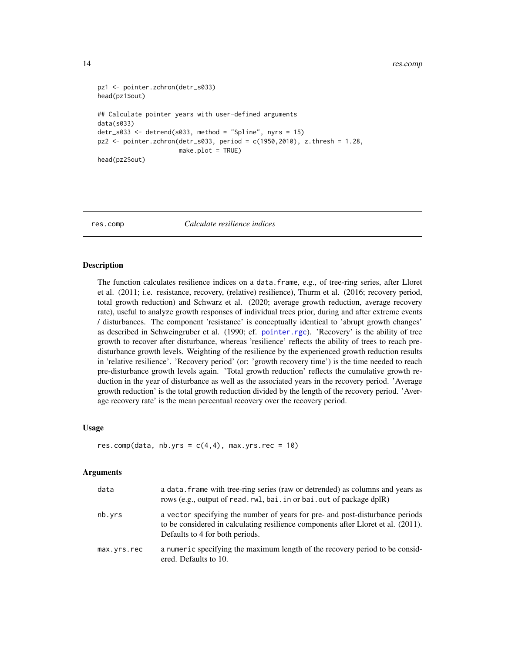#### <span id="page-13-0"></span>14 res.comp

```
pz1 <- pointer.zchron(detr_s033)
head(pz1$out)
## Calculate pointer years with user-defined arguments
data(s033)
detr_s033 \leq detend(s033, method = "Spline", nyrs = 15)pz2 <- pointer.zchron(detr_s033, period = c(1950,2010), z.thresh = 1.28,
                      make.plot = TRUE)
head(pz2$out)
```
<span id="page-13-1"></span>res.comp *Calculate resilience indices*

#### Description

The function calculates resilience indices on a data.frame, e.g., of tree-ring series, after Lloret et al. (2011; i.e. resistance, recovery, (relative) resilience), Thurm et al. (2016; recovery period, total growth reduction) and Schwarz et al. (2020; average growth reduction, average recovery rate), useful to analyze growth responses of individual trees prior, during and after extreme events / disturbances. The component 'resistance' is conceptually identical to 'abrupt growth changes' as described in Schweingruber et al. (1990; cf. [pointer.rgc](#page-9-1)). 'Recovery' is the ability of tree growth to recover after disturbance, whereas 'resilience' reflects the ability of trees to reach predisturbance growth levels. Weighting of the resilience by the experienced growth reduction results in 'relative resilience'. 'Recovery period' (or: 'growth recovery time') is the time needed to reach pre-disturbance growth levels again. 'Total growth reduction' reflects the cumulative growth reduction in the year of disturbance as well as the associated years in the recovery period. 'Average growth reduction' is the total growth reduction divided by the length of the recovery period. 'Average recovery rate' is the mean percentual recovery over the recovery period.

#### Usage

```
res.comp(data, nb.yrs = c(4,4), max.yrs.rec = 10)
```

| data        | a data. frame with tree-ring series (raw or detrended) as columns and years as<br>rows (e.g., output of read. rwl, bai. in or bai. out of package dplR)                                               |
|-------------|-------------------------------------------------------------------------------------------------------------------------------------------------------------------------------------------------------|
| nb.yrs      | a vector specifying the number of years for pre- and post-disturbance periods<br>to be considered in calculating resilience components after Lloret et al. (2011).<br>Defaults to 4 for both periods. |
| max.yrs.rec | a numeric specifying the maximum length of the recovery period to be consid-<br>ered. Defaults to 10.                                                                                                 |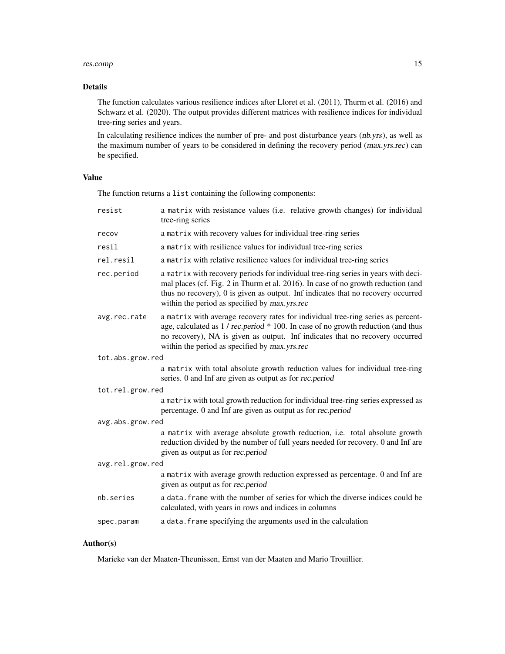#### res.comp and the set of the set of the set of the set of the set of the set of the set of the set of the set of the set of the set of the set of the set of the set of the set of the set of the set of the set of the set of

#### Details

The function calculates various resilience indices after Lloret et al. (2011), Thurm et al. (2016) and Schwarz et al. (2020). The output provides different matrices with resilience indices for individual tree-ring series and years.

In calculating resilience indices the number of pre- and post disturbance years (nb.yrs), as well as the maximum number of years to be considered in defining the recovery period (max.yrs.rec) can be specified.

#### Value

The function returns a list containing the following components:

| resist           | a matrix with resistance values (i.e. relative growth changes) for individual<br>tree-ring series                                                                                                                                                                                                            |
|------------------|--------------------------------------------------------------------------------------------------------------------------------------------------------------------------------------------------------------------------------------------------------------------------------------------------------------|
| recov            | a matrix with recovery values for individual tree-ring series                                                                                                                                                                                                                                                |
| resil            | a matrix with resilience values for individual tree-ring series                                                                                                                                                                                                                                              |
| rel.resil        | a matrix with relative resilience values for individual tree-ring series                                                                                                                                                                                                                                     |
| rec.period       | a matrix with recovery periods for individual tree-ring series in years with deci-<br>mal places (cf. Fig. 2 in Thurm et al. 2016). In case of no growth reduction (and<br>thus no recovery), 0 is given as output. Inf indicates that no recovery occurred<br>within the period as specified by max.yrs.rec |
| avg.rec.rate     | a matrix with average recovery rates for individual tree-ring series as percent-<br>age, calculated as 1 / rec.period * 100. In case of no growth reduction (and thus<br>no recovery), NA is given as output. Inf indicates that no recovery occurred<br>within the period as specified by max.yrs.rec       |
| tot.abs.grow.red |                                                                                                                                                                                                                                                                                                              |
|                  | a matrix with total absolute growth reduction values for individual tree-ring<br>series. 0 and Inf are given as output as for rec.period                                                                                                                                                                     |
| tot.rel.grow.red |                                                                                                                                                                                                                                                                                                              |
|                  | a matrix with total growth reduction for individual tree-ring series expressed as<br>percentage. 0 and Inf are given as output as for rec.period                                                                                                                                                             |
| avg.abs.grow.red |                                                                                                                                                                                                                                                                                                              |
|                  | a matrix with average absolute growth reduction, i.e. total absolute growth<br>reduction divided by the number of full years needed for recovery. 0 and Inf are<br>given as output as for rec.period                                                                                                         |
| avg.rel.grow.red |                                                                                                                                                                                                                                                                                                              |
|                  | a matrix with average growth reduction expressed as percentage. 0 and Inf are<br>given as output as for rec.period                                                                                                                                                                                           |
| nb.series        | a data. frame with the number of series for which the diverse indices could be<br>calculated, with years in rows and indices in columns                                                                                                                                                                      |
| spec.param       | a data. frame specifying the arguments used in the calculation                                                                                                                                                                                                                                               |
|                  |                                                                                                                                                                                                                                                                                                              |

#### Author(s)

Marieke van der Maaten-Theunissen, Ernst van der Maaten and Mario Trouillier.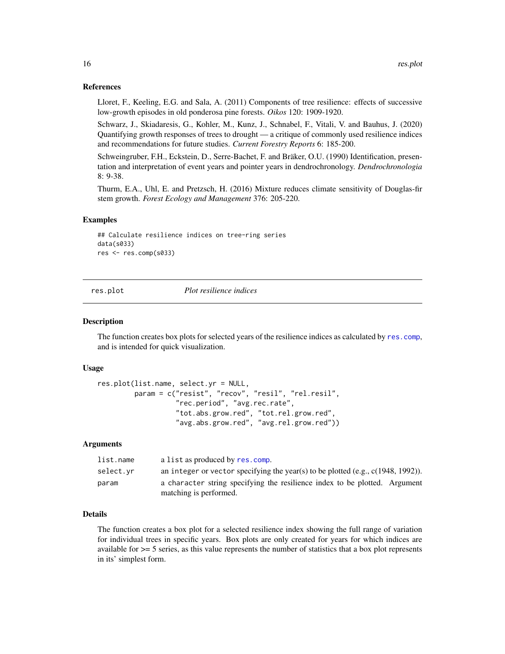#### References

Lloret, F., Keeling, E.G. and Sala, A. (2011) Components of tree resilience: effects of successive low-growth episodes in old ponderosa pine forests. *Oikos* 120: 1909-1920.

Schwarz, J., Skiadaresis, G., Kohler, M., Kunz, J., Schnabel, F., Vitali, V. and Bauhus, J. (2020) Quantifying growth responses of trees to drought — a critique of commonly used resilience indices and recommendations for future studies. *Current Forestry Reports* 6: 185-200.

Schweingruber, F.H., Eckstein, D., Serre-Bachet, F. and Bräker, O.U. (1990) Identification, presentation and interpretation of event years and pointer years in dendrochronology. *Dendrochronologia* 8: 9-38.

Thurm, E.A., Uhl, E. and Pretzsch, H. (2016) Mixture reduces climate sensitivity of Douglas-fir stem growth. *Forest Ecology and Management* 376: 205-220.

#### Examples

```
## Calculate resilience indices on tree-ring series
data(s033)
res <- res.comp(s033)
```
res.plot *Plot resilience indices*

#### Description

The function creates box plots for selected years of the resilience indices as calculated by [res.comp](#page-13-1), and is intended for quick visualization.

#### Usage

```
res.plot(list.name, select.yr = NULL,
         param = c("resist", "recov", "resil", "rel.resil",
                   "rec.period", "avg.rec.rate",
                   "tot.abs.grow.red", "tot.rel.grow.red",
                   "avg.abs.grow.red", "avg.rel.grow.red"))
```
#### Arguments

| list.name | a list as produced by res.comp.                                                                      |
|-----------|------------------------------------------------------------------------------------------------------|
| select.vr | an integer or vector specifying the year(s) to be plotted (e.g., $c(1948, 1992)$ ).                  |
| param     | a character string specifying the resilience index to be plotted. Argument<br>matching is performed. |

#### Details

The function creates a box plot for a selected resilience index showing the full range of variation for individual trees in specific years. Box plots are only created for years for which indices are available for  $>=$  5 series, as this value represents the number of statistics that a box plot represents in its' simplest form.

<span id="page-15-0"></span>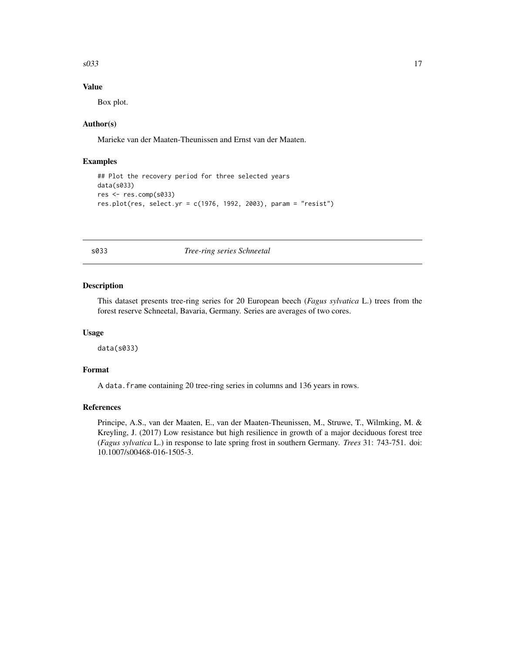#### <span id="page-16-0"></span> $s033$  17

#### Value

Box plot.

#### Author(s)

Marieke van der Maaten-Theunissen and Ernst van der Maaten.

#### Examples

```
## Plot the recovery period for three selected years
data(s033)
res <- res.comp(s033)
res.plot(res, select.yr = c(1976, 1992, 2003), param = "resist")
```
#### s033 *Tree-ring series Schneetal*

#### Description

This dataset presents tree-ring series for 20 European beech (*Fagus sylvatica* L.) trees from the forest reserve Schneetal, Bavaria, Germany. Series are averages of two cores.

#### Usage

data(s033)

#### Format

A data.frame containing 20 tree-ring series in columns and 136 years in rows.

#### References

Principe, A.S., van der Maaten, E., van der Maaten-Theunissen, M., Struwe, T., Wilmking, M. & Kreyling, J. (2017) Low resistance but high resilience in growth of a major deciduous forest tree (*Fagus sylvatica* L.) in response to late spring frost in southern Germany. *Trees* 31: 743-751. doi: 10.1007/s00468-016-1505-3.